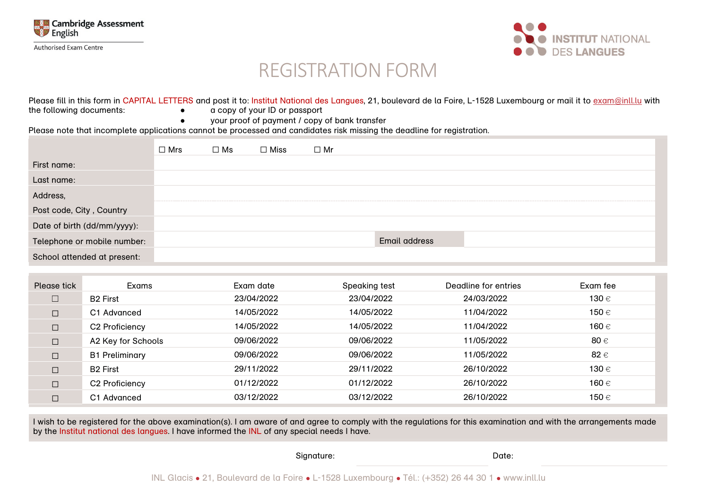

**Authorised Exam Centre** 



# REGISTRATION FORM

|                          | Please fill in this form in CAPITAL LETTERS and post it to: Institut National des Langues, 21, boulevard de la Foire, L-1528 Luxembourg or mail it to exam@inll.lu with |
|--------------------------|-------------------------------------------------------------------------------------------------------------------------------------------------------------------------|
| the following documents: | a copy of your ID or passport                                                                                                                                           |
|                          | your proof of payment / copy of bank transfer                                                                                                                           |

Please note that incomplete applications cannot be processed and candidates risk missing the deadline for registration.

|                             | $\Box$ Mrs | $\square$ Ms | $\Box$ Miss | $\Box$ Mr |               |  |
|-----------------------------|------------|--------------|-------------|-----------|---------------|--|
| First name:                 |            |              |             |           |               |  |
| Last name:                  |            |              |             |           |               |  |
| Address,                    |            |              |             |           |               |  |
| Post code, City, Country    |            |              |             |           |               |  |
| Date of birth (dd/mm/yyyy): |            |              |             |           |               |  |
| Telephone or mobile number: |            |              |             |           | Email address |  |
| School attended at present: |            |              |             |           |               |  |

| Please tick | Exams                   | Exam date  | Speaking test | Deadline for entries | Exam fee |
|-------------|-------------------------|------------|---------------|----------------------|----------|
|             | <b>B2 First</b>         | 23/04/2022 | 23/04/2022    | 24/03/2022           | 130 €    |
| $\Box$      | C <sub>1</sub> Advanced | 14/05/2022 | 14/05/2022    | 11/04/2022           | 150 €    |
| $\Box$      | C2 Proficiency          | 14/05/2022 | 14/05/2022    | 11/04/2022           | 160 €    |
| $\Box$      | A2 Key for Schools      | 09/06/2022 | 09/06/2022    | 11/05/2022           | 80 €     |
| $\Box$      | <b>B1 Preliminary</b>   | 09/06/2022 | 09/06/2022    | 11/05/2022           | 82 €     |
| $\Box$      | <b>B2 First</b>         | 29/11/2022 | 29/11/2022    | 26/10/2022           | 130 €    |
| $\Box$      | C2 Proficiency          | 01/12/2022 | 01/12/2022    | 26/10/2022           | 160 €    |
| $\Box$      | C <sub>1</sub> Advanced | 03/12/2022 | 03/12/2022    | 26/10/2022           | 150 €    |

I wish to be registered for the above examination(s). I am aware of and agree to comply with the regulations for this examination and with the arrangements made by the Institut national des langues. I have informed the INL of any special needs I have.

Signature: Date: Date: Date: Date: Date: Date: Date: Date: Date: Date: Date: Date: Date: Date: Date: Date: Date: Date: Date: Date: Date: Date: Date: Date: Date: Date: Date: Date: Date: Date: Date: Date: Date: Date: Date: D